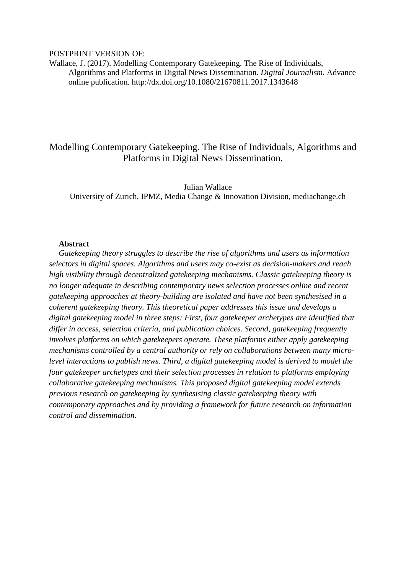#### POSTPRINT VERSION OF:

Wallace, J. (2017). Modelling Contemporary Gatekeeping. The Rise of Individuals, Algorithms and Platforms in Digital News Dissemination. *Digital Journalism*. Advance online publication. http://dx.doi.org/10.1080/21670811.2017.1343648

# Modelling Contemporary Gatekeeping. The Rise of Individuals, Algorithms and Platforms in Digital News Dissemination.

### Julian Wallace

University of Zurich, IPMZ, Media Change & Innovation Division, mediachange.ch

# **Abstract**

*Gatekeeping theory struggles to describe the rise of algorithms and users as information selectors in digital spaces. Algorithms and users may co-exist as decision-makers and reach high visibility through decentralized gatekeeping mechanisms. Classic gatekeeping theory is no longer adequate in describing contemporary news selection processes online and recent gatekeeping approaches at theory-building are isolated and have not been synthesised in a coherent gatekeeping theory. This theoretical paper addresses this issue and develops a digital gatekeeping model in three steps: First, four gatekeeper archetypes are identified that differ in access, selection criteria, and publication choices. Second, gatekeeping frequently involves platforms on which gatekeepers operate. These platforms either apply gatekeeping mechanisms controlled by a central authority or rely on collaborations between many microlevel interactions to publish news. Third, a digital gatekeeping model is derived to model the four gatekeeper archetypes and their selection processes in relation to platforms employing collaborative gatekeeping mechanisms. This proposed digital gatekeeping model extends previous research on gatekeeping by synthesising classic gatekeeping theory with contemporary approaches and by providing a framework for future research on information control and dissemination.*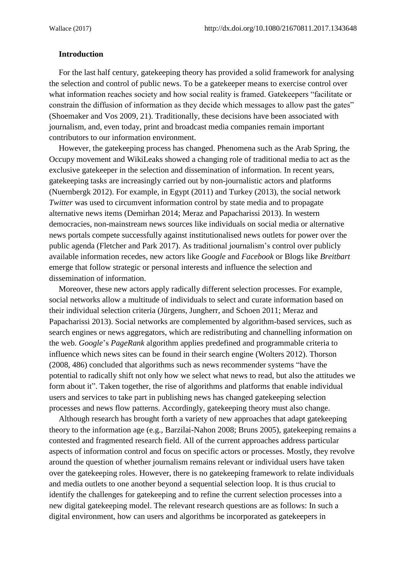### **Introduction**

For the last half century, gatekeeping theory has provided a solid framework for analysing the selection and control of public news. To be a gatekeeper means to exercise control over what information reaches society and how social reality is framed. Gatekeepers "facilitate or constrain the diffusion of information as they decide which messages to allow past the gates" (Shoemaker and Vos 2009, 21). Traditionally, these decisions have been associated with journalism, and, even today, print and broadcast media companies remain important contributors to our information environment.

However, the gatekeeping process has changed. Phenomena such as the Arab Spring, the Occupy movement and WikiLeaks showed a changing role of traditional media to act as the exclusive gatekeeper in the selection and dissemination of information. In recent years, gatekeeping tasks are increasingly carried out by non-journalistic actors and platforms (Nuernbergk 2012). For example, in Egypt (2011) and Turkey (2013), the social network *Twitter* was used to circumvent information control by state media and to propagate alternative news items (Demirhan 2014; Meraz and Papacharissi 2013). In western democracies, non-mainstream news sources like individuals on social media or alternative news portals compete successfully against institutionalised news outlets for power over the public agenda (Fletcher and Park 2017). As traditional journalism's control over publicly available information recedes, new actors like *Google* and *Facebook* or Blogs like *Breitbart* emerge that follow strategic or personal interests and influence the selection and dissemination of information.

Moreover, these new actors apply radically different selection processes. For example, social networks allow a multitude of individuals to select and curate information based on their individual selection criteria (Jürgens, Jungherr, and Schoen 2011; Meraz and Papacharissi 2013). Social networks are complemented by algorithm-based services, such as search engines or news aggregators, which are redistributing and channelling information on the web. *Google*'s *PageRank* algorithm applies predefined and programmable criteria to influence which news sites can be found in their search engine (Wolters 2012). Thorson (2008, 486) concluded that algorithms such as news recommender systems "have the potential to radically shift not only how we select what news to read, but also the attitudes we form about it". Taken together, the rise of algorithms and platforms that enable individual users and services to take part in publishing news has changed gatekeeping selection processes and news flow patterns. Accordingly, gatekeeping theory must also change.

Although research has brought forth a variety of new approaches that adapt gatekeeping theory to the information age (e.g., Barzilai-Nahon 2008; Bruns 2005), gatekeeping remains a contested and fragmented research field. All of the current approaches address particular aspects of information control and focus on specific actors or processes. Mostly, they revolve around the question of whether journalism remains relevant or individual users have taken over the gatekeeping roles. However, there is no gatekeeping framework to relate individuals and media outlets to one another beyond a sequential selection loop. It is thus crucial to identify the challenges for gatekeeping and to refine the current selection processes into a new digital gatekeeping model. The relevant research questions are as follows: In such a digital environment, how can users and algorithms be incorporated as gatekeepers in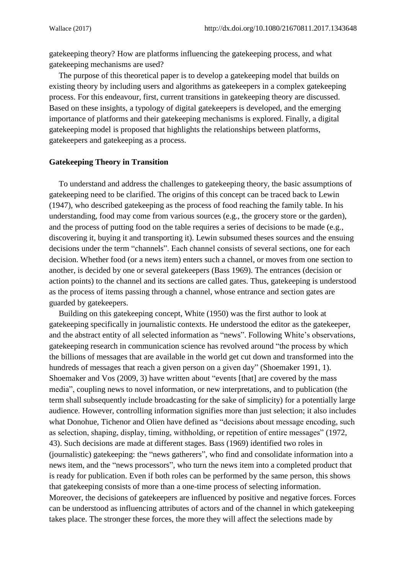gatekeeping theory? How are platforms influencing the gatekeeping process, and what gatekeeping mechanisms are used?

The purpose of this theoretical paper is to develop a gatekeeping model that builds on existing theory by including users and algorithms as gatekeepers in a complex gatekeeping process. For this endeavour, first, current transitions in gatekeeping theory are discussed. Based on these insights, a typology of digital gatekeepers is developed, and the emerging importance of platforms and their gatekeeping mechanisms is explored. Finally, a digital gatekeeping model is proposed that highlights the relationships between platforms, gatekeepers and gatekeeping as a process.

### **Gatekeeping Theory in Transition**

To understand and address the challenges to gatekeeping theory, the basic assumptions of gatekeeping need to be clarified. The origins of this concept can be traced back to Lewin (1947), who described gatekeeping as the process of food reaching the family table. In his understanding, food may come from various sources (e.g., the grocery store or the garden), and the process of putting food on the table requires a series of decisions to be made (e.g., discovering it, buying it and transporting it). Lewin subsumed theses sources and the ensuing decisions under the term "channels". Each channel consists of several sections, one for each decision. Whether food (or a news item) enters such a channel, or moves from one section to another, is decided by one or several gatekeepers (Bass 1969). The entrances (decision or action points) to the channel and its sections are called gates. Thus, gatekeeping is understood as the process of items passing through a channel, whose entrance and section gates are guarded by gatekeepers.

Building on this gatekeeping concept, White (1950) was the first author to look at gatekeeping specifically in journalistic contexts. He understood the editor as the gatekeeper, and the abstract entity of all selected information as "news". Following White's observations, gatekeeping research in communication science has revolved around "the process by which the billions of messages that are available in the world get cut down and transformed into the hundreds of messages that reach a given person on a given day" (Shoemaker 1991, 1). Shoemaker and Vos (2009, 3) have written about "events [that] are covered by the mass media", coupling news to novel information, or new interpretations, and to publication (the term shall subsequently include broadcasting for the sake of simplicity) for a potentially large audience. However, controlling information signifies more than just selection; it also includes what Donohue, Tichenor and Olien have defined as "decisions about message encoding, such as selection, shaping, display, timing, withholding, or repetition of entire messages" (1972, 43). Such decisions are made at different stages. Bass (1969) identified two roles in (journalistic) gatekeeping: the "news gatherers", who find and consolidate information into a news item, and the "news processors", who turn the news item into a completed product that is ready for publication. Even if both roles can be performed by the same person, this shows that gatekeeping consists of more than a one-time process of selecting information. Moreover, the decisions of gatekeepers are influenced by positive and negative forces. Forces can be understood as influencing attributes of actors and of the channel in which gatekeeping takes place. The stronger these forces, the more they will affect the selections made by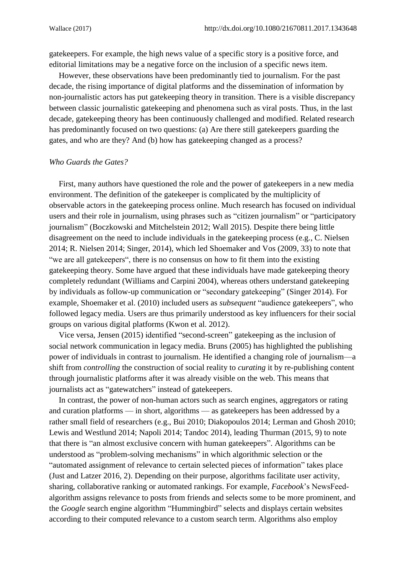gatekeepers. For example, the high news value of a specific story is a positive force, and editorial limitations may be a negative force on the inclusion of a specific news item.

However, these observations have been predominantly tied to journalism. For the past decade, the rising importance of digital platforms and the dissemination of information by non-journalistic actors has put gatekeeping theory in transition. There is a visible discrepancy between classic journalistic gatekeeping and phenomena such as viral posts. Thus, in the last decade, gatekeeping theory has been continuously challenged and modified. Related research has predominantly focused on two questions: (a) Are there still gatekeepers guarding the gates, and who are they? And (b) how has gatekeeping changed as a process?

#### *Who Guards the Gates?*

First, many authors have questioned the role and the power of gatekeepers in a new media environment. The definition of the gatekeeper is complicated by the multiplicity of observable actors in the gatekeeping process online. Much research has focused on individual users and their role in journalism, using phrases such as "citizen journalism" or "participatory journalism" (Boczkowski and Mitchelstein 2012; Wall 2015). Despite there being little disagreement on the need to include individuals in the gatekeeping process (e.g., C. Nielsen 2014; R. Nielsen 2014; Singer, 2014), which led Shoemaker and Vos (2009, 33) to note that "we are all gatekeepers", there is no consensus on how to fit them into the existing gatekeeping theory. Some have argued that these individuals have made gatekeeping theory completely redundant (Williams and Carpini 2004), whereas others understand gatekeeping by individuals as follow-up communication or "secondary gatekeeping" (Singer 2014). For example, Shoemaker et al. (2010) included users as *subsequent* "audience gatekeepers", who followed legacy media. Users are thus primarily understood as key influencers for their social groups on various digital platforms (Kwon et al. 2012).

Vice versa, Jensen (2015) identified "second-screen" gatekeeping as the inclusion of social network communication in legacy media. Bruns (2005) has highlighted the publishing power of individuals in contrast to journalism. He identified a changing role of journalism—a shift from *controlling* the construction of social reality to *curating* it by re-publishing content through journalistic platforms after it was already visible on the web. This means that journalists act as "gatewatchers" instead of gatekeepers.

In contrast, the power of non-human actors such as search engines, aggregators or rating and curation platforms — in short, algorithms — as gatekeepers has been addressed by a rather small field of researchers (e.g., Bui 2010; Diakopoulos 2014; Lerman and Ghosh 2010; Lewis and Westlund 2014; Napoli 2014; Tandoc 2014), leading Thurman (2015, 9) to note that there is "an almost exclusive concern with human gatekeepers". Algorithms can be understood as "problem-solving mechanisms" in which algorithmic selection or the "automated assignment of relevance to certain selected pieces of information" takes place (Just and Latzer 2016, 2). Depending on their purpose, algorithms facilitate user activity, sharing, collaborative ranking or automated rankings. For example, *Facebook*'s NewsFeedalgorithm assigns relevance to posts from friends and selects some to be more prominent, and the *Google* search engine algorithm "Hummingbird" selects and displays certain websites according to their computed relevance to a custom search term. Algorithms also employ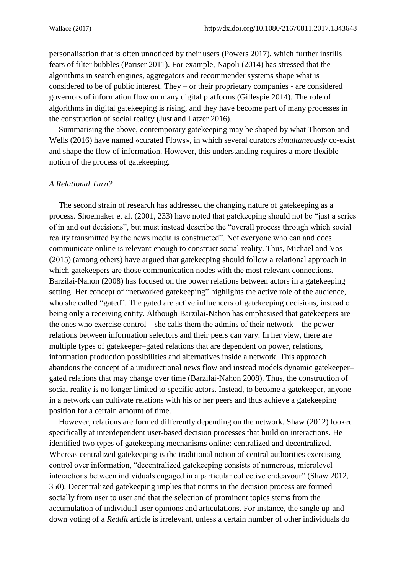personalisation that is often unnoticed by their users (Powers 2017), which further instills fears of filter bubbles (Pariser 2011). For example, Napoli (2014) has stressed that the algorithms in search engines, aggregators and recommender systems shape what is considered to be of public interest. They – or their proprietary companies - are considered governors of information flow on many digital platforms (Gillespie 2014). The role of algorithms in digital gatekeeping is rising, and they have become part of many processes in the construction of social reality (Just and Latzer 2016).

Summarising the above, contemporary gatekeeping may be shaped by what Thorson and Wells (2016) have named «curated Flows», in which several curators *simultaneously* co-exist and shape the flow of information. However, this understanding requires a more flexible notion of the process of gatekeeping.

## *A Relational Turn?*

The second strain of research has addressed the changing nature of gatekeeping as a process. Shoemaker et al. (2001, 233) have noted that gatekeeping should not be "just a series of in and out decisions", but must instead describe the "overall process through which social reality transmitted by the news media is constructed". Not everyone who can and does communicate online is relevant enough to construct social reality. Thus, Michael and Vos (2015) (among others) have argued that gatekeeping should follow a relational approach in which gatekeepers are those communication nodes with the most relevant connections. Barzilai-Nahon (2008) has focused on the power relations between actors in a gatekeeping setting. Her concept of "networked gatekeeping" highlights the active role of the audience, who she called "gated". The gated are active influencers of gatekeeping decisions, instead of being only a receiving entity. Although Barzilai-Nahon has emphasised that gatekeepers are the ones who exercise control—she calls them the admins of their network—the power relations between information selectors and their peers can vary. In her view, there are multiple types of gatekeeper–gated relations that are dependent on power, relations, information production possibilities and alternatives inside a network. This approach abandons the concept of a unidirectional news flow and instead models dynamic gatekeeper– gated relations that may change over time (Barzilai-Nahon 2008). Thus, the construction of social reality is no longer limited to specific actors. Instead, to become a gatekeeper, anyone in a network can cultivate relations with his or her peers and thus achieve a gatekeeping position for a certain amount of time.

However, relations are formed differently depending on the network. Shaw (2012) looked specifically at interdependent user-based decision processes that build on interactions. He identified two types of gatekeeping mechanisms online: centralized and decentralized. Whereas centralized gatekeeping is the traditional notion of central authorities exercising control over information, "decentralized gatekeeping consists of numerous, microlevel interactions between individuals engaged in a particular collective endeavour" (Shaw 2012, 350). Decentralized gatekeeping implies that norms in the decision process are formed socially from user to user and that the selection of prominent topics stems from the accumulation of individual user opinions and articulations. For instance, the single up-and down voting of a *Reddit* article is irrelevant, unless a certain number of other individuals do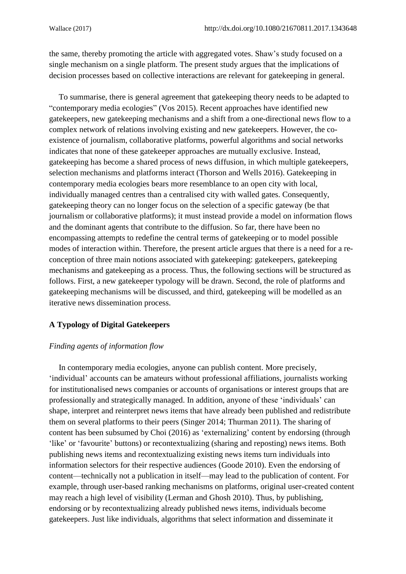the same, thereby promoting the article with aggregated votes. Shaw's study focused on a single mechanism on a single platform. The present study argues that the implications of decision processes based on collective interactions are relevant for gatekeeping in general.

To summarise, there is general agreement that gatekeeping theory needs to be adapted to "contemporary media ecologies" (Vos 2015). Recent approaches have identified new gatekeepers, new gatekeeping mechanisms and a shift from a one-directional news flow to a complex network of relations involving existing and new gatekeepers. However, the coexistence of journalism, collaborative platforms, powerful algorithms and social networks indicates that none of these gatekeeper approaches are mutually exclusive. Instead, gatekeeping has become a shared process of news diffusion, in which multiple gatekeepers, selection mechanisms and platforms interact (Thorson and Wells 2016). Gatekeeping in contemporary media ecologies bears more resemblance to an open city with local, individually managed centres than a centralised city with walled gates. Consequently, gatekeeping theory can no longer focus on the selection of a specific gateway (be that journalism or collaborative platforms); it must instead provide a model on information flows and the dominant agents that contribute to the diffusion. So far, there have been no encompassing attempts to redefine the central terms of gatekeeping or to model possible modes of interaction within. Therefore, the present article argues that there is a need for a reconception of three main notions associated with gatekeeping: gatekeepers, gatekeeping mechanisms and gatekeeping as a process. Thus, the following sections will be structured as follows. First, a new gatekeeper typology will be drawn. Second, the role of platforms and gatekeeping mechanisms will be discussed, and third, gatekeeping will be modelled as an iterative news dissemination process.

# **A Typology of Digital Gatekeepers**

# *Finding agents of information flow*

In contemporary media ecologies, anyone can publish content. More precisely, 'individual' accounts can be amateurs without professional affiliations, journalists working for institutionalised news companies or accounts of organisations or interest groups that are professionally and strategically managed. In addition, anyone of these 'individuals' can shape, interpret and reinterpret news items that have already been published and redistribute them on several platforms to their peers (Singer 2014; Thurman 2011). The sharing of content has been subsumed by Choi (2016) as 'externalizing' content by endorsing (through 'like' or 'favourite' buttons) or recontextualizing (sharing and reposting) news items. Both publishing news items and recontextualizing existing news items turn individuals into information selectors for their respective audiences (Goode 2010). Even the endorsing of content—technically not a publication in itself—may lead to the publication of content. For example, through user-based ranking mechanisms on platforms, original user-created content may reach a high level of visibility (Lerman and Ghosh 2010). Thus, by publishing, endorsing or by recontextualizing already published news items, individuals become gatekeepers. Just like individuals, algorithms that select information and disseminate it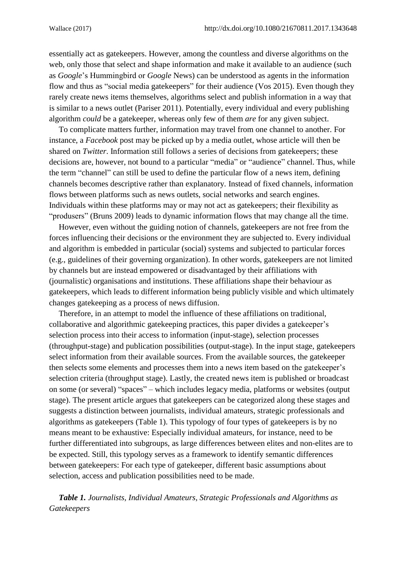essentially act as gatekeepers. However, among the countless and diverse algorithms on the web, only those that select and shape information and make it available to an audience (such as *Google*'s Hummingbird or *Google* News) can be understood as agents in the information flow and thus as "social media gatekeepers" for their audience (Vos 2015). Even though they rarely create news items themselves, algorithms select and publish information in a way that is similar to a news outlet (Pariser 2011). Potentially, every individual and every publishing algorithm *could* be a gatekeeper, whereas only few of them *are* for any given subject.

To complicate matters further, information may travel from one channel to another. For instance, a *Facebook* post may be picked up by a media outlet, whose article will then be shared on *Twitter*. Information still follows a series of decisions from gatekeepers; these decisions are, however, not bound to a particular "media" or "audience" channel. Thus, while the term "channel" can still be used to define the particular flow of a news item, defining channels becomes descriptive rather than explanatory. Instead of fixed channels, information flows between platforms such as news outlets, social networks and search engines. Individuals within these platforms may or may not act as gatekeepers; their flexibility as "produsers" (Bruns 2009) leads to dynamic information flows that may change all the time.

However, even without the guiding notion of channels, gatekeepers are not free from the forces influencing their decisions or the environment they are subjected to. Every individual and algorithm is embedded in particular (social) systems and subjected to particular forces (e.g., guidelines of their governing organization). In other words, gatekeepers are not limited by channels but are instead empowered or disadvantaged by their affiliations with (journalistic) organisations and institutions. These affiliations shape their behaviour as gatekeepers, which leads to different information being publicly visible and which ultimately changes gatekeeping as a process of news diffusion.

Therefore, in an attempt to model the influence of these affiliations on traditional, collaborative and algorithmic gatekeeping practices, this paper divides a gatekeeper's selection process into their access to information (input-stage), selection processes (throughput-stage) and publication possibilities (output-stage). In the input stage, gatekeepers select information from their available sources. From the available sources, the gatekeeper then selects some elements and processes them into a news item based on the gatekeeper's selection criteria (throughput stage). Lastly, the created news item is published or broadcast on some (or several) "spaces" – which includes legacy media, platforms or websites (output stage). The present article argues that gatekeepers can be categorized along these stages and suggests a distinction between journalists, individual amateurs, strategic professionals and algorithms as gatekeepers (Table 1). This typology of four types of gatekeepers is by no means meant to be exhaustive: Especially individual amateurs, for instance, need to be further differentiated into subgroups, as large differences between elites and non-elites are to be expected. Still, this typology serves as a framework to identify semantic differences between gatekeepers: For each type of gatekeeper, different basic assumptions about selection, access and publication possibilities need to be made.

*Table 1. Journalists, Individual Amateurs, Strategic Professionals and Algorithms as Gatekeepers*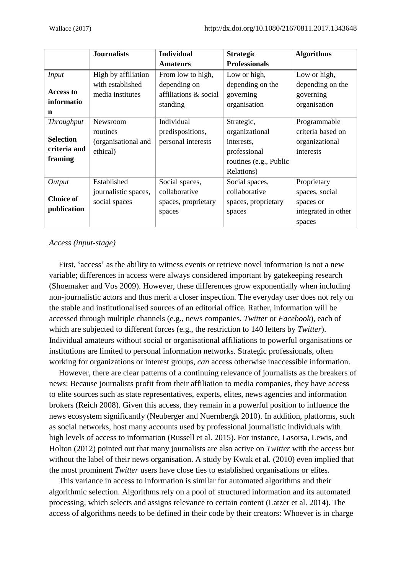|                   | <b>Journalists</b>   | <b>Individual</b>     | <b>Strategic</b>       | <b>Algorithms</b>   |
|-------------------|----------------------|-----------------------|------------------------|---------------------|
|                   |                      | <b>Amateurs</b>       | <b>Professionals</b>   |                     |
| <b>Input</b>      | High by affiliation  | From low to high,     | Low or high,           | Low or high,        |
|                   | with established     | depending on          | depending on the       | depending on the    |
| Access to         | media institutes     | affiliations & social | governing              | governing           |
| informatio        |                      | standing              | organisation           | organisation        |
| n                 |                      |                       |                        |                     |
| <b>Throughput</b> | Newsroom             | Individual            | Strategic,             | Programmable        |
|                   | routines             | predispositions,      | organizational         | criteria based on   |
| <b>Selection</b>  | (organisational and  | personal interests    | interests,             | organizational      |
| criteria and      | ethical)             |                       | professional           | interests           |
| framing           |                      |                       | routines (e.g., Public |                     |
|                   |                      |                       | Relations)             |                     |
| Output            | Established          | Social spaces,        | Social spaces,         | Proprietary         |
|                   | journalistic spaces, | collaborative         | collaborative          | spaces, social      |
| <b>Choice of</b>  | social spaces        | spaces, proprietary   | spaces, proprietary    | spaces or           |
| publication       |                      | spaces                | spaces                 | integrated in other |
|                   |                      |                       |                        | spaces              |

## *Access (input-stage)*

First, 'access' as the ability to witness events or retrieve novel information is not a new variable; differences in access were always considered important by gatekeeping research (Shoemaker and Vos 2009). However, these differences grow exponentially when including non-journalistic actors and thus merit a closer inspection. The everyday user does not rely on the stable and institutionalised sources of an editorial office. Rather, information will be accessed through multiple channels (e.g., news companies, *Twitter* or *Facebook*), each of which are subjected to different forces (e.g., the restriction to 140 letters by *Twitter*). Individual amateurs without social or organisational affiliations to powerful organisations or institutions are limited to personal information networks. Strategic professionals, often working for organizations or interest groups, *can* access otherwise inaccessible information.

However, there are clear patterns of a continuing relevance of journalists as the breakers of news: Because journalists profit from their affiliation to media companies, they have access to elite sources such as state representatives, experts, elites, news agencies and information brokers (Reich 2008). Given this access, they remain in a powerful position to influence the news ecosystem significantly (Neuberger and Nuernbergk 2010). In addition, platforms, such as social networks, host many accounts used by professional journalistic individuals with high levels of access to information (Russell et al. 2015). For instance, Lasorsa, Lewis, and Holton (2012) pointed out that many journalists are also active on *Twitter* with the access but without the label of their news organisation. A study by Kwak et al. (2010) even implied that the most prominent *Twitter* users have close ties to established organisations or elites.

This variance in access to information is similar for automated algorithms and their algorithmic selection. Algorithms rely on a pool of structured information and its automated processing, which selects and assigns relevance to certain content (Latzer et al. 2014). The access of algorithms needs to be defined in their code by their creators: Whoever is in charge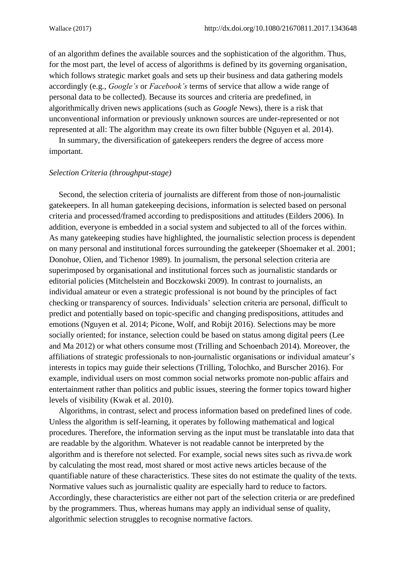of an algorithm defines the available sources and the sophistication of the algorithm. Thus, for the most part, the level of access of algorithms is defined by its governing organisation, which follows strategic market goals and sets up their business and data gathering models accordingly (e.g., *Google's* or *Facebook's* terms of service that allow a wide range of personal data to be collected). Because its sources and criteria are predefined, in algorithmically driven news applications (such as *Google* News), there is a risk that unconventional information or previously unknown sources are under-represented or not represented at all: The algorithm may create its own filter bubble (Nguyen et al. 2014).

In summary, the diversification of gatekeepers renders the degree of access more important.

### *Selection Criteria (throughput-stage)*

Second, the selection criteria of journalists are different from those of non-journalistic gatekeepers. In all human gatekeeping decisions, information is selected based on personal criteria and processed/framed according to predispositions and attitudes (Eilders 2006). In addition, everyone is embedded in a social system and subjected to all of the forces within. As many gatekeeping studies have highlighted, the journalistic selection process is dependent on many personal and institutional forces surrounding the gatekeeper (Shoemaker et al. 2001; Donohue, Olien, and Tichenor 1989). In journalism, the personal selection criteria are superimposed by organisational and institutional forces such as journalistic standards or editorial policies (Mitchelstein and Boczkowski 2009). In contrast to journalists, an individual amateur or even a strategic professional is not bound by the principles of fact checking or transparency of sources. Individuals' selection criteria are personal, difficult to predict and potentially based on topic-specific and changing predispositions, attitudes and emotions (Nguyen et al. 2014; Picone, Wolf, and Robijt 2016). Selections may be more socially oriented; for instance, selection could be based on status among digital peers (Lee and Ma 2012) or what others consume most (Trilling and Schoenbach 2014). Moreover, the affiliations of strategic professionals to non-journalistic organisations or individual amateur's interests in topics may guide their selections (Trilling, Tolochko, and Burscher 2016). For example, individual users on most common social networks promote non-public affairs and entertainment rather than politics and public issues, steering the former topics toward higher levels of visibility (Kwak et al. 2010).

Algorithms, in contrast, select and process information based on predefined lines of code. Unless the algorithm is self-learning, it operates by following mathematical and logical procedures. Therefore, the information serving as the input must be translatable into data that are readable by the algorithm. Whatever is not readable cannot be interpreted by the algorithm and is therefore not selected. For example, social news sites such as rivva.de work by calculating the most read, most shared or most active news articles because of the quantifiable nature of these characteristics. These sites do not estimate the quality of the texts. Normative values such as journalistic quality are especially hard to reduce to factors. Accordingly, these characteristics are either not part of the selection criteria or are predefined by the programmers. Thus, whereas humans may apply an individual sense of quality, algorithmic selection struggles to recognise normative factors.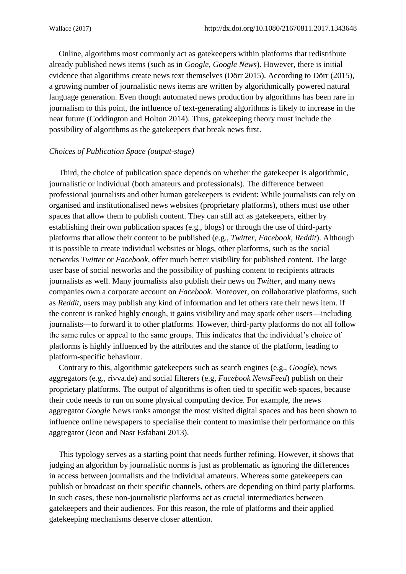Online, algorithms most commonly act as gatekeepers within platforms that redistribute already published news items (such as in *Google*, *Google News*). However, there is initial evidence that algorithms create news text themselves (Dörr 2015). According to Dörr (2015), a growing number of journalistic news items are written by algorithmically powered natural language generation. Even though automated news production by algorithms has been rare in journalism to this point, the influence of text-generating algorithms is likely to increase in the near future (Coddington and Holton 2014). Thus, gatekeeping theory must include the possibility of algorithms as the gatekeepers that break news first.

## *Choices of Publication Space (output-stage)*

Third, the choice of publication space depends on whether the gatekeeper is algorithmic, journalistic or individual (both amateurs and professionals). The difference between professional journalists and other human gatekeepers is evident: While journalists can rely on organised and institutionalised news websites (proprietary platforms), others must use other spaces that allow them to publish content. They can still act as gatekeepers, either by establishing their own publication spaces (e.g., blogs) or through the use of third-party platforms that allow their content to be published (e.g., *Twitter*, *Facebook*, *Reddit*). Although it is possible to create individual websites or blogs, other platforms, such as the social networks *Twitter* or *Facebook*, offer much better visibility for published content. The large user base of social networks and the possibility of pushing content to recipients attracts journalists as well. Many journalists also publish their news on *Twitter*, and many news companies own a corporate account on *Facebook*. Moreover, on collaborative platforms, such as *Reddit*, users may publish any kind of information and let others rate their news item. If the content is ranked highly enough, it gains visibility and may spark other users—including journalists—to forward it to other platforms. However, third-party platforms do not all follow the same rules or appeal to the same groups. This indicates that the individual's choice of platforms is highly influenced by the attributes and the stance of the platform, leading to platform-specific behaviour.

Contrary to this, algorithmic gatekeepers such as search engines (e.g., *Google*), news aggregators (e.g., rivva.de) and social filterers (e.g, *Facebook NewsFeed*) publish on their proprietary platforms. The output of algorithms is often tied to specific web spaces, because their code needs to run on some physical computing device. For example, the news aggregator *Google* News ranks amongst the most visited digital spaces and has been shown to influence online newspapers to specialise their content to maximise their performance on this aggregator (Jeon and Nasr Esfahani 2013).

This typology serves as a starting point that needs further refining. However, it shows that judging an algorithm by journalistic norms is just as problematic as ignoring the differences in access between journalists and the individual amateurs. Whereas some gatekeepers can publish or broadcast on their specific channels, others are depending on third party platforms. In such cases, these non-journalistic platforms act as crucial intermediaries between gatekeepers and their audiences. For this reason, the role of platforms and their applied gatekeeping mechanisms deserve closer attention.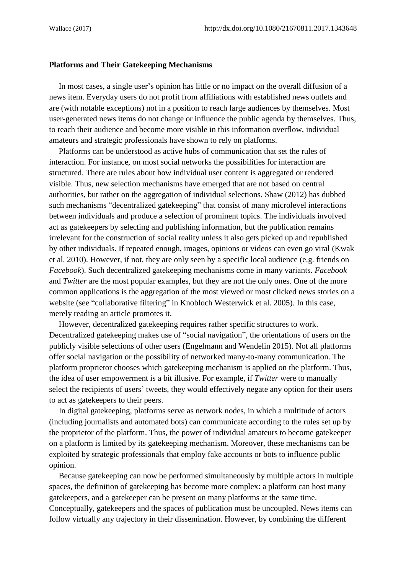#### **Platforms and Their Gatekeeping Mechanisms**

In most cases, a single user's opinion has little or no impact on the overall diffusion of a news item. Everyday users do not profit from affiliations with established news outlets and are (with notable exceptions) not in a position to reach large audiences by themselves. Most user-generated news items do not change or influence the public agenda by themselves. Thus, to reach their audience and become more visible in this information overflow, individual amateurs and strategic professionals have shown to rely on platforms.

Platforms can be understood as active hubs of communication that set the rules of interaction. For instance, on most social networks the possibilities for interaction are structured. There are rules about how individual user content is aggregated or rendered visible. Thus, new selection mechanisms have emerged that are not based on central authorities, but rather on the aggregation of individual selections. Shaw (2012) has dubbed such mechanisms "decentralized gatekeeping" that consist of many microlevel interactions between individuals and produce a selection of prominent topics. The individuals involved act as gatekeepers by selecting and publishing information, but the publication remains irrelevant for the construction of social reality unless it also gets picked up and republished by other individuals. If repeated enough, images, opinions or videos can even go viral (Kwak et al. 2010). However, if not, they are only seen by a specific local audience (e.g. friends on *Facebook*). Such decentralized gatekeeping mechanisms come in many variants. *Facebook* and *Twitter* are the most popular examples, but they are not the only ones. One of the more common applications is the aggregation of the most viewed or most clicked news stories on a website (see "collaborative filtering" in Knobloch Westerwick et al. 2005). In this case, merely reading an article promotes it.

However, decentralized gatekeeping requires rather specific structures to work. Decentralized gatekeeping makes use of "social navigation", the orientations of users on the publicly visible selections of other users (Engelmann and Wendelin 2015). Not all platforms offer social navigation or the possibility of networked many-to-many communication. The platform proprietor chooses which gatekeeping mechanism is applied on the platform. Thus, the idea of user empowerment is a bit illusive. For example, if *Twitter* were to manually select the recipients of users' tweets, they would effectively negate any option for their users to act as gatekeepers to their peers.

In digital gatekeeping, platforms serve as network nodes, in which a multitude of actors (including journalists and automated bots) can communicate according to the rules set up by the proprietor of the platform. Thus, the power of individual amateurs to become gatekeeper on a platform is limited by its gatekeeping mechanism. Moreover, these mechanisms can be exploited by strategic professionals that employ fake accounts or bots to influence public opinion.

Because gatekeeping can now be performed simultaneously by multiple actors in multiple spaces, the definition of gatekeeping has become more complex: a platform can host many gatekeepers, and a gatekeeper can be present on many platforms at the same time. Conceptually, gatekeepers and the spaces of publication must be uncoupled. News items can follow virtually any trajectory in their dissemination. However, by combining the different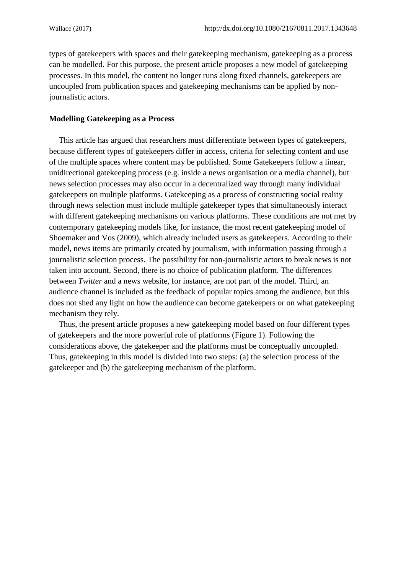types of gatekeepers with spaces and their gatekeeping mechanism, gatekeeping as a process can be modelled. For this purpose, the present article proposes a new model of gatekeeping processes. In this model, the content no longer runs along fixed channels, gatekeepers are uncoupled from publication spaces and gatekeeping mechanisms can be applied by nonjournalistic actors.

# **Modelling Gatekeeping as a Process**

This article has argued that researchers must differentiate between types of gatekeepers, because different types of gatekeepers differ in access, criteria for selecting content and use of the multiple spaces where content may be published. Some Gatekeepers follow a linear, unidirectional gatekeeping process (e.g. inside a news organisation or a media channel), but news selection processes may also occur in a decentralized way through many individual gatekeepers on multiple platforms. Gatekeeping as a process of constructing social reality through news selection must include multiple gatekeeper types that simultaneously interact with different gatekeeping mechanisms on various platforms. These conditions are not met by contemporary gatekeeping models like, for instance, the most recent gatekeeping model of Shoemaker and Vos (2009), which already included users as gatekeepers. According to their model, news items are primarily created by journalism, with information passing through a journalistic selection process. The possibility for non-journalistic actors to break news is not taken into account. Second, there is no choice of publication platform. The differences between *Twitter* and a news website, for instance, are not part of the model. Third, an audience channel is included as the feedback of popular topics among the audience, but this does not shed any light on how the audience can become gatekeepers or on what gatekeeping mechanism they rely.

Thus, the present article proposes a new gatekeeping model based on four different types of gatekeepers and the more powerful role of platforms (Figure 1). Following the considerations above, the gatekeeper and the platforms must be conceptually uncoupled. Thus, gatekeeping in this model is divided into two steps: (a) the selection process of the gatekeeper and (b) the gatekeeping mechanism of the platform.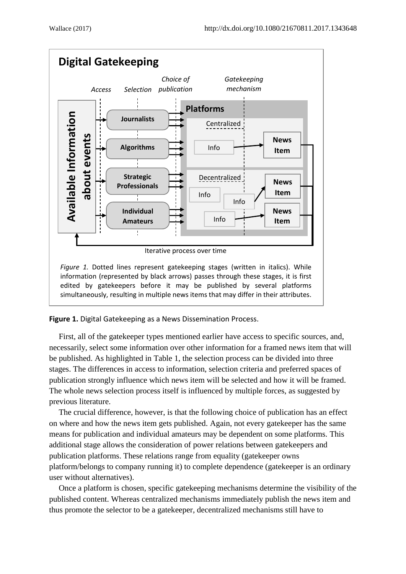

### **Figure 1.** Digital Gatekeeping as a News Dissemination Process.

First, all of the gatekeeper types mentioned earlier have access to specific sources, and, necessarily, select some information over other information for a framed news item that will be published. As highlighted in Table 1, the selection process can be divided into three stages. The differences in access to information, selection criteria and preferred spaces of publication strongly influence which news item will be selected and how it will be framed. The whole news selection process itself is influenced by multiple forces, as suggested by previous literature.

The crucial difference, however, is that the following choice of publication has an effect on where and how the news item gets published. Again, not every gatekeeper has the same means for publication and individual amateurs may be dependent on some platforms. This additional stage allows the consideration of power relations between gatekeepers and publication platforms. These relations range from equality (gatekeeper owns platform/belongs to company running it) to complete dependence (gatekeeper is an ordinary user without alternatives).

Once a platform is chosen, specific gatekeeping mechanisms determine the visibility of the published content. Whereas centralized mechanisms immediately publish the news item and thus promote the selector to be a gatekeeper, decentralized mechanisms still have to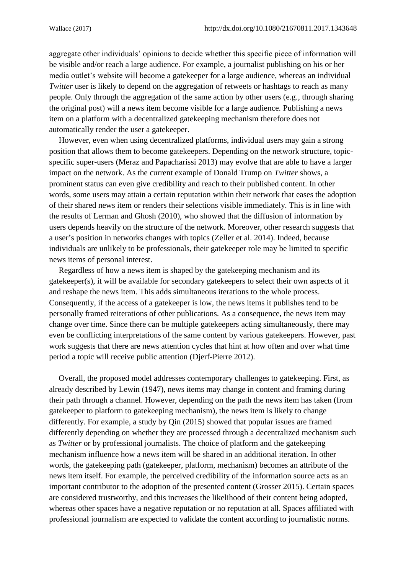aggregate other individuals' opinions to decide whether this specific piece of information will be visible and/or reach a large audience. For example, a journalist publishing on his or her media outlet's website will become a gatekeeper for a large audience, whereas an individual *Twitter* user is likely to depend on the aggregation of retweets or hashtags to reach as many people. Only through the aggregation of the same action by other users (e.g., through sharing the original post) will a news item become visible for a large audience. Publishing a news item on a platform with a decentralized gatekeeping mechanism therefore does not automatically render the user a gatekeeper.

However, even when using decentralized platforms, individual users may gain a strong position that allows them to become gatekeepers. Depending on the network structure, topicspecific super-users (Meraz and Papacharissi 2013) may evolve that are able to have a larger impact on the network. As the current example of Donald Trump on *Twitter* shows, a prominent status can even give credibility and reach to their published content. In other words, some users may attain a certain reputation within their network that eases the adoption of their shared news item or renders their selections visible immediately. This is in line with the results of Lerman and Ghosh (2010), who showed that the diffusion of information by users depends heavily on the structure of the network. Moreover, other research suggests that a user's position in networks changes with topics (Zeller et al. 2014). Indeed, because individuals are unlikely to be professionals, their gatekeeper role may be limited to specific news items of personal interest.

Regardless of how a news item is shaped by the gatekeeping mechanism and its gatekeeper(s), it will be available for secondary gatekeepers to select their own aspects of it and reshape the news item. This adds simultaneous iterations to the whole process. Consequently, if the access of a gatekeeper is low, the news items it publishes tend to be personally framed reiterations of other publications. As a consequence, the news item may change over time. Since there can be multiple gatekeepers acting simultaneously, there may even be conflicting interpretations of the same content by various gatekeepers. However, past work suggests that there are news attention cycles that hint at how often and over what time period a topic will receive public attention (Djerf-Pierre 2012).

Overall, the proposed model addresses contemporary challenges to gatekeeping. First, as already described by Lewin (1947), news items may change in content and framing during their path through a channel. However, depending on the path the news item has taken (from gatekeeper to platform to gatekeeping mechanism), the news item is likely to change differently. For example, a study by Qin (2015) showed that popular issues are framed differently depending on whether they are processed through a decentralized mechanism such as *Twitter* or by professional journalists. The choice of platform and the gatekeeping mechanism influence how a news item will be shared in an additional iteration. In other words, the gatekeeping path (gatekeeper, platform, mechanism) becomes an attribute of the news item itself. For example, the perceived credibility of the information source acts as an important contributor to the adoption of the presented content (Grosser 2015). Certain spaces are considered trustworthy, and this increases the likelihood of their content being adopted, whereas other spaces have a negative reputation or no reputation at all. Spaces affiliated with professional journalism are expected to validate the content according to journalistic norms.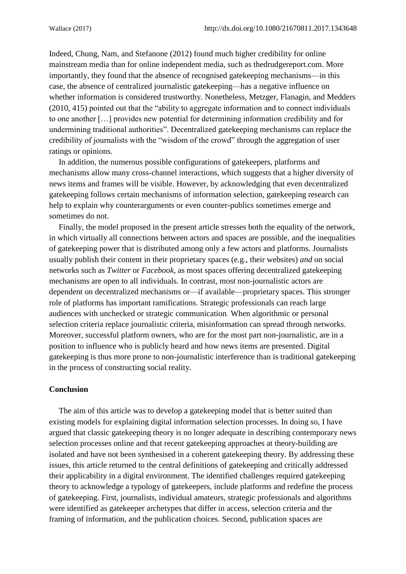Indeed, Chung, Nam, and Stefanone (2012) found much higher credibility for online mainstream media than for online independent media, such as thedrudgereport.com. More importantly, they found that the absence of recognised gatekeeping mechanisms—in this case, the absence of centralized journalistic gatekeeping—has a negative influence on whether information is considered trustworthy. Nonetheless, Metzger, Flanagin, and Medders (2010, 415) pointed out that the "ability to aggregate information and to connect individuals to one another […] provides new potential for determining information credibility and for undermining traditional authorities". Decentralized gatekeeping mechanisms can replace the credibility of journalists with the "wisdom of the crowd" through the aggregation of user ratings or opinions.

In addition, the numerous possible configurations of gatekeepers, platforms and mechanisms allow many cross-channel interactions, which suggests that a higher diversity of news items and frames will be visible. However, by acknowledging that even decentralized gatekeeping follows certain mechanisms of information selection, gatekeeping research can help to explain why counterarguments or even counter-publics sometimes emerge and sometimes do not.

Finally, the model proposed in the present article stresses both the equality of the network, in which virtually all connections between actors and spaces are possible, and the inequalities of gatekeeping power that is distributed among only a few actors and platforms. Journalists usually publish their content in their proprietary spaces (e.g., their websites) *and* on social networks such as *Twitter* or *Facebook*, as most spaces offering decentralized gatekeeping mechanisms are open to all individuals. In contrast, most non-journalistic actors are dependent on decentralized mechanisms or—if available—proprietary spaces. This stronger role of platforms has important ramifications. Strategic professionals can reach large audiences with unchecked or strategic communication. When algorithmic or personal selection criteria replace journalistic criteria, misinformation can spread through networks. Moreover, successful platform owners, who are for the most part non-journalistic, are in a position to influence who is publicly heard and how news items are presented. Digital gatekeeping is thus more prone to non-journalistic interference than is traditional gatekeeping in the process of constructing social reality.

# **Conclusion**

The aim of this article was to develop a gatekeeping model that is better suited than existing models for explaining digital information selection processes. In doing so, I have argued that classic gatekeeping theory is no longer adequate in describing contemporary news selection processes online and that recent gatekeeping approaches at theory-building are isolated and have not been synthesised in a coherent gatekeeping theory. By addressing these issues, this article returned to the central definitions of gatekeeping and critically addressed their applicability in a digital environment. The identified challenges required gatekeeping theory to acknowledge a typology of gatekeepers, include platforms and redefine the process of gatekeeping. First, journalists, individual amateurs, strategic professionals and algorithms were identified as gatekeeper archetypes that differ in access, selection criteria and the framing of information, and the publication choices. Second, publication spaces are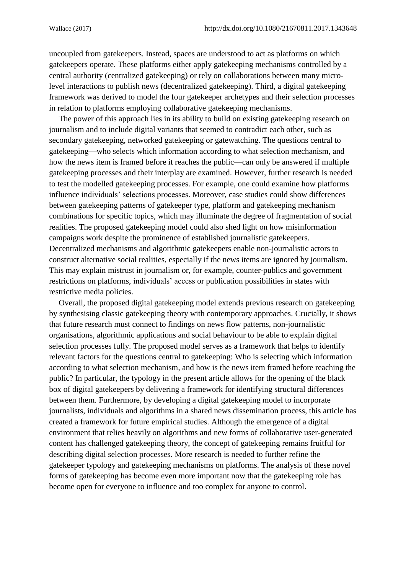uncoupled from gatekeepers. Instead, spaces are understood to act as platforms on which gatekeepers operate. These platforms either apply gatekeeping mechanisms controlled by a central authority (centralized gatekeeping) or rely on collaborations between many microlevel interactions to publish news (decentralized gatekeeping). Third, a digital gatekeeping framework was derived to model the four gatekeeper archetypes and their selection processes in relation to platforms employing collaborative gatekeeping mechanisms.

The power of this approach lies in its ability to build on existing gatekeeping research on journalism and to include digital variants that seemed to contradict each other, such as secondary gatekeeping, networked gatekeeping or gatewatching. The questions central to gatekeeping—who selects which information according to what selection mechanism, and how the news item is framed before it reaches the public—can only be answered if multiple gatekeeping processes and their interplay are examined. However, further research is needed to test the modelled gatekeeping processes. For example, one could examine how platforms influence individuals' selections processes. Moreover, case studies could show differences between gatekeeping patterns of gatekeeper type, platform and gatekeeping mechanism combinations for specific topics, which may illuminate the degree of fragmentation of social realities. The proposed gatekeeping model could also shed light on how misinformation campaigns work despite the prominence of established journalistic gatekeepers. Decentralized mechanisms and algorithmic gatekeepers enable non-journalistic actors to construct alternative social realities, especially if the news items are ignored by journalism. This may explain mistrust in journalism or, for example, counter-publics and government restrictions on platforms, individuals' access or publication possibilities in states with restrictive media policies.

Overall, the proposed digital gatekeeping model extends previous research on gatekeeping by synthesising classic gatekeeping theory with contemporary approaches. Crucially, it shows that future research must connect to findings on news flow patterns, non-journalistic organisations, algorithmic applications and social behaviour to be able to explain digital selection processes fully. The proposed model serves as a framework that helps to identify relevant factors for the questions central to gatekeeping: Who is selecting which information according to what selection mechanism, and how is the news item framed before reaching the public? In particular, the typology in the present article allows for the opening of the black box of digital gatekeepers by delivering a framework for identifying structural differences between them. Furthermore, by developing a digital gatekeeping model to incorporate journalists, individuals and algorithms in a shared news dissemination process, this article has created a framework for future empirical studies. Although the emergence of a digital environment that relies heavily on algorithms and new forms of collaborative user-generated content has challenged gatekeeping theory, the concept of gatekeeping remains fruitful for describing digital selection processes. More research is needed to further refine the gatekeeper typology and gatekeeping mechanisms on platforms. The analysis of these novel forms of gatekeeping has become even more important now that the gatekeeping role has become open for everyone to influence and too complex for anyone to control.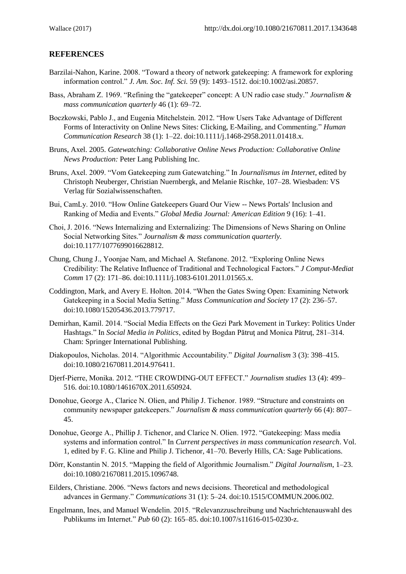# **REFERENCES**

- Barzilai-Nahon, Karine. 2008. "Toward a theory of network gatekeeping: A framework for exploring information control." *J. Am. Soc. Inf. Sci.* 59 (9): 1493–1512. doi:10.1002/asi.20857.
- Bass, Abraham Z. 1969. "Refining the "gatekeeper" concept: A UN radio case study." *Journalism & mass communication quarterly* 46 (1): 69–72.
- Boczkowski, Pablo J., and Eugenia Mitchelstein. 2012. "How Users Take Advantage of Different Forms of Interactivity on Online News Sites: Clicking, E-Mailing, and Commenting." *Human Communication Research* 38 (1): 1–22. doi:10.1111/j.1468-2958.2011.01418.x.
- Bruns, Axel. 2005. *Gatewatching: Collaborative Online News Production: Collaborative Online News Production:* Peter Lang Publishing Inc.
- Bruns, Axel. 2009. "Vom Gatekeeping zum Gatewatching." In *Journalismus im Internet*, edited by Christoph Neuberger, Christian Nuernbergk, and Melanie Rischke, 107–28. Wiesbaden: VS Verlag für Sozialwissenschaften.
- Bui, CamLy. 2010. "How Online Gatekeepers Guard Our View -- News Portals' Inclusion and Ranking of Media and Events." *Global Media Journal: American Edition* 9 (16): 1–41.
- Choi, J. 2016. "News Internalizing and Externalizing: The Dimensions of News Sharing on Online Social Networking Sites." *Journalism & mass communication quarterly.*  doi:10.1177/1077699016628812.
- Chung, Chung J., Yoonjae Nam, and Michael A. Stefanone. 2012. "Exploring Online News Credibility: The Relative Influence of Traditional and Technological Factors." *J Comput-Mediat Comm* 17 (2): 171–86. doi:10.1111/j.1083-6101.2011.01565.x.
- Coddington, Mark, and Avery E. Holton. 2014. "When the Gates Swing Open: Examining Network Gatekeeping in a Social Media Setting." *Mass Communication and Society* 17 (2): 236–57. doi:10.1080/15205436.2013.779717.
- Demirhan, Kamil. 2014. "Social Media Effects on the Gezi Park Movement in Turkey: Politics Under Hashtags." In *Social Media in Politics*, edited by Bogdan Pătrut and Monica Pătrut, 281–314. Cham: Springer International Publishing.
- Diakopoulos, Nicholas. 2014. "Algorithmic Accountability." *Digital Journalism* 3 (3): 398–415. doi:10.1080/21670811.2014.976411.
- Djerf-Pierre, Monika. 2012. "THE CROWDING-OUT EFFECT." *Journalism studies* 13 (4): 499– 516. doi:10.1080/1461670X.2011.650924.
- Donohue, George A., Clarice N. Olien, and Philip J. Tichenor. 1989. "Structure and constraints on community newspaper gatekeepers." *Journalism & mass communication quarterly* 66 (4): 807– 45.
- Donohue, George A., Phillip J. Tichenor, and Clarice N. Olien. 1972. "Gatekeeping: Mass media systems and information control." In *Current perspectives in mass communication research*. Vol. 1, edited by F. G. Kline and Philip J. Tichenor, 41–70. Beverly Hills, CA: Sage Publications.
- Dörr, Konstantin N. 2015. "Mapping the field of Algorithmic Journalism." *Digital Journalism*, 1–23. doi:10.1080/21670811.2015.1096748.
- Eilders, Christiane. 2006. "News factors and news decisions. Theoretical and methodological advances in Germany." *Communications* 31 (1): 5–24. doi:10.1515/COMMUN.2006.002.
- Engelmann, Ines, and Manuel Wendelin. 2015. "Relevanzzuschreibung und Nachrichtenauswahl des Publikums im Internet." *Pub* 60 (2): 165–85. doi:10.1007/s11616-015-0230-z.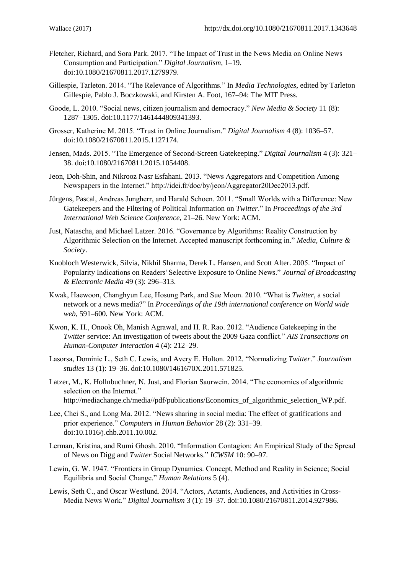- Fletcher, Richard, and Sora Park. 2017. "The Impact of Trust in the News Media on Online News Consumption and Participation." *Digital Journalism*, 1–19. doi:10.1080/21670811.2017.1279979.
- Gillespie, Tarleton. 2014. "The Relevance of Algorithms." In *Media Technologies*, edited by Tarleton Gillespie, Pablo J. Boczkowski, and Kirsten A. Foot, 167–94: The MIT Press.
- Goode, L. 2010. "Social news, citizen journalism and democracy." *New Media & Society* 11 (8): 1287–1305. doi:10.1177/1461444809341393.
- Grosser, Katherine M. 2015. "Trust in Online Journalism." *Digital Journalism* 4 (8): 1036–57. doi:10.1080/21670811.2015.1127174.
- Jensen, Mads. 2015. "The Emergence of Second-Screen Gatekeeping." *Digital Journalism* 4 (3): 321– 38. doi:10.1080/21670811.2015.1054408.
- Jeon, Doh-Shin, and Nikrooz Nasr Esfahani. 2013. "News Aggregators and Competition Among Newspapers in the Internet." http://idei.fr/doc/by/jeon/Aggregator20Dec2013.pdf.
- Jürgens, Pascal, Andreas Jungherr, and Harald Schoen. 2011. "Small Worlds with a Difference: New Gatekeepers and the Filtering of Political Information on *Twitter*." In *Proceedings of the 3rd International Web Science Conference*, 21–26. New York: ACM.
- Just, Natascha, and Michael Latzer. 2016. "Governance by Algorithms: Reality Construction by Algorithmic Selection on the Internet. Accepted manuscript forthcoming in." *Media, Culture & Society*.
- Knobloch Westerwick, Silvia, Nikhil Sharma, Derek L. Hansen, and Scott Alter. 2005. "Impact of Popularity Indications on Readers' Selective Exposure to Online News." *Journal of Broadcasting & Electronic Media* 49 (3): 296–313.
- Kwak, Haewoon, Changhyun Lee, Hosung Park, and Sue Moon. 2010. "What is *Twitter*, a social network or a news media?" In *Proceedings of the 19th international conference on World wide web*, 591–600. New York: ACM.
- Kwon, K. H., Onook Oh, Manish Agrawal, and H. R. Rao. 2012. "Audience Gatekeeping in the *Twitter* service: An investigation of tweets about the 2009 Gaza conflict." *AIS Transactions on Human-Computer Interaction* 4 (4): 212–29.
- Lasorsa, Dominic L., Seth C. Lewis, and Avery E. Holton. 2012. "Normalizing *Twitter*." *Journalism studies* 13 (1): 19–36. doi:10.1080/1461670X.2011.571825.
- Latzer, M., K. Hollnbuchner, N. Just, and Florian Saurwein. 2014. "The economics of algorithmic selection on the Internet." http://mediachange.ch/media//pdf/publications/Economics of algorithmic selection WP.pdf.
- Lee, Chei S., and Long Ma. 2012. "News sharing in social media: The effect of gratifications and prior experience." *Computers in Human Behavior* 28 (2): 331–39. doi:10.1016/j.chb.2011.10.002.
- Lerman, Kristina, and Rumi Ghosh. 2010. "Information Contagion: An Empirical Study of the Spread of News on Digg and *Twitter* Social Networks." *ICWSM* 10: 90–97.
- Lewin, G. W. 1947. "Frontiers in Group Dynamics. Concept, Method and Reality in Science; Social Equilibria and Social Change." *Human Relations* 5 (4).
- Lewis, Seth C., and Oscar Westlund. 2014. "Actors, Actants, Audiences, and Activities in Cross-Media News Work." *Digital Journalism* 3 (1): 19–37. doi:10.1080/21670811.2014.927986.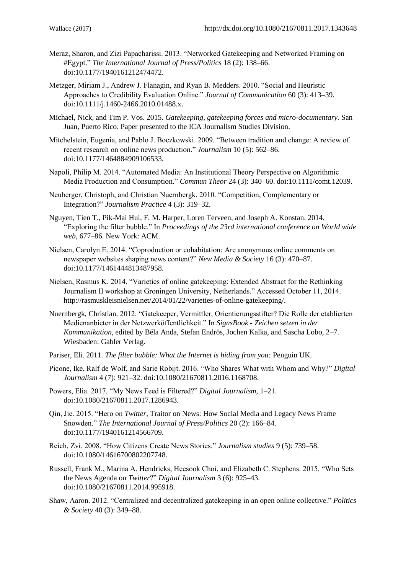- Meraz, Sharon, and Zizi Papacharissi. 2013. "Networked Gatekeeping and Networked Framing on #Egypt." *The International Journal of Press/Politics* 18 (2): 138–66. doi:10.1177/1940161212474472.
- Metzger, Miriam J., Andrew J. Flanagin, and Ryan B. Medders. 2010. "Social and Heuristic Approaches to Credibility Evaluation Online." *Journal of Communication* 60 (3): 413–39. doi:10.1111/j.1460-2466.2010.01488.x.
- Michael, Nick, and Tim P. Vos. 2015. *Gatekeeping, gatekeeping forces and micro-documentary.* San Juan, Puerto Rico. Paper presented to the ICA Journalism Studies Division.
- Mitchelstein, Eugenia, and Pablo J. Boczkowski. 2009. "Between tradition and change: A review of recent research on online news production." *Journalism* 10 (5): 562–86. doi:10.1177/1464884909106533.
- Napoli, Philip M. 2014. "Automated Media: An Institutional Theory Perspective on Algorithmic Media Production and Consumption." *Commun Theor* 24 (3): 340–60. doi:10.1111/comt.12039.
- Neuberger, Christoph, and Christian Nuernbergk. 2010. "Competition, Complementary or Integration?" *Journalism Practice* 4 (3): 319–32.
- Nguyen, Tien T., Pik-Mai Hui, F. M. Harper, Loren Terveen, and Joseph A. Konstan. 2014. "Exploring the filter bubble." In *Proceedings of the 23rd international conference on World wide web*, 677–86. New York: ACM.
- Nielsen, Carolyn E. 2014. "Coproduction or cohabitation: Are anonymous online comments on newspaper websites shaping news content?" *New Media & Society* 16 (3): 470–87. doi:10.1177/1461444813487958.
- Nielsen, Rasmus K. 2014. "Varieties of online gatekeeping: Extended Abstract for the Rethinking Journalism II workshop at Groningen University, Netherlands." Accessed October 11, 2014. http://rasmuskleisnielsen.net/2014/01/22/varieties-of-online-gatekeeping/.
- Nuernbergk, Christian. 2012. "Gatekeeper, Vermittler, Orientierungsstifter? Die Rolle der etablierten Medienanbieter in der Netzwerköffentlichkeit." In *SignsBook - Zeichen setzen in der Kommunikation*, edited by Béla Anda, Stefan Endrös, Jochen Kalka, and Sascha Lobo, 2–7. Wiesbaden: Gabler Verlag.
- Pariser, Eli. 2011. *The filter bubble: What the Internet is hiding from you:* Penguin UK.
- Picone, Ike, Ralf de Wolf, and Sarie Robijt. 2016. "Who Shares What with Whom and Why?" *Digital Journalism* 4 (7): 921–32. doi:10.1080/21670811.2016.1168708.
- Powers, Elia. 2017. "My News Feed is Filtered?" *Digital Journalism*, 1–21. doi:10.1080/21670811.2017.1286943.
- Qin, Jie. 2015. "Hero on *Twitter*, Traitor on News: How Social Media and Legacy News Frame Snowden." *The International Journal of Press/Politics* 20 (2): 166–84. doi:10.1177/1940161214566709.
- Reich, Zvi. 2008. "How Citizens Create News Stories." *Journalism studies* 9 (5): 739–58. doi:10.1080/14616700802207748.
- Russell, Frank M., Marina A. Hendricks, Heesook Choi, and Elizabeth C. Stephens. 2015. "Who Sets the News Agenda on *Twitter*?" *Digital Journalism* 3 (6): 925–43. doi:10.1080/21670811.2014.995918.
- Shaw, Aaron. 2012. "Centralized and decentralized gatekeeping in an open online collective." *Politics & Society* 40 (3): 349–88.